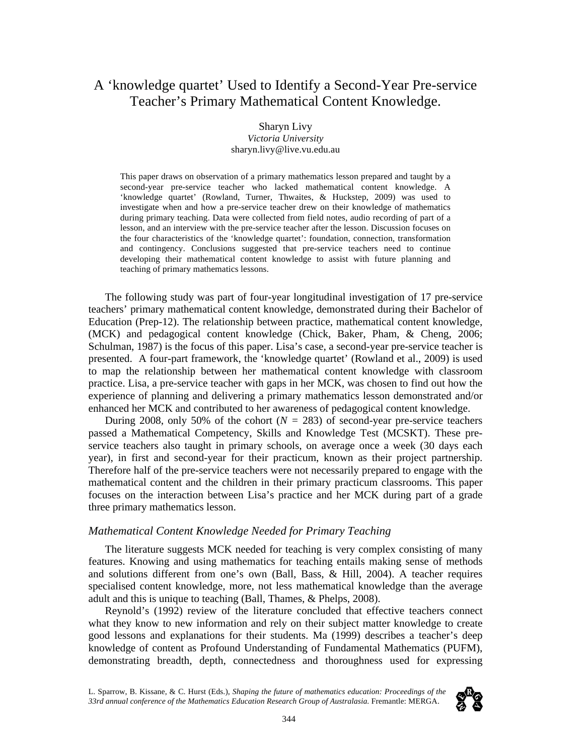# A 'knowledge quartet' Used to Identify a Second-Year Pre-service Teacher's Primary Mathematical Content Knowledge.

Sharyn Livy *Victoria University*  sharyn.livy@live.vu.edu.au

This paper draws on observation of a primary mathematics lesson prepared and taught by a second-year pre-service teacher who lacked mathematical content knowledge. A 'knowledge quartet' (Rowland, Turner, Thwaites, & Huckstep, 2009) was used to investigate when and how a pre-service teacher drew on their knowledge of mathematics during primary teaching. Data were collected from field notes, audio recording of part of a lesson, and an interview with the pre-service teacher after the lesson. Discussion focuses on the four characteristics of the 'knowledge quartet': foundation, connection, transformation and contingency. Conclusions suggested that pre-service teachers need to continue developing their mathematical content knowledge to assist with future planning and teaching of primary mathematics lessons.

The following study was part of four-year longitudinal investigation of 17 pre-service teachers' primary mathematical content knowledge, demonstrated during their Bachelor of Education (Prep-12). The relationship between practice, mathematical content knowledge, (MCK) and pedagogical content knowledge (Chick, Baker, Pham, & Cheng, 2006; Schulman, 1987) is the focus of this paper. Lisa's case, a second-year pre-service teacher is presented. A four-part framework, the 'knowledge quartet' (Rowland et al., 2009) is used to map the relationship between her mathematical content knowledge with classroom practice. Lisa, a pre-service teacher with gaps in her MCK, was chosen to find out how the experience of planning and delivering a primary mathematics lesson demonstrated and/or enhanced her MCK and contributed to her awareness of pedagogical content knowledge.

During 2008, only 50% of the cohort  $(N = 283)$  of second-year pre-service teachers passed a Mathematical Competency, Skills and Knowledge Test (MCSKT). These preservice teachers also taught in primary schools, on average once a week (30 days each year), in first and second-year for their practicum, known as their project partnership. Therefore half of the pre-service teachers were not necessarily prepared to engage with the mathematical content and the children in their primary practicum classrooms. This paper focuses on the interaction between Lisa's practice and her MCK during part of a grade three primary mathematics lesson.

### *Mathematical Content Knowledge Needed for Primary Teaching*

The literature suggests MCK needed for teaching is very complex consisting of many features. Knowing and using mathematics for teaching entails making sense of methods and solutions different from one's own (Ball, Bass, & Hill, 2004). A teacher requires specialised content knowledge, more, not less mathematical knowledge than the average adult and this is unique to teaching (Ball, Thames, & Phelps, 2008).

Reynold's (1992) review of the literature concluded that effective teachers connect what they know to new information and rely on their subject matter knowledge to create good lessons and explanations for their students. Ma (1999) describes a teacher's deep knowledge of content as Profound Understanding of Fundamental Mathematics (PUFM), demonstrating breadth, depth, connectedness and thoroughness used for expressing

L. Sparrow, B. Kissane, & C. Hurst (Eds.), *Shaping the future of mathematics education: Proceedings of the*  33rd annual conference of the Mathematics Education Research Group of Australasia. Fremantle: MERGA.

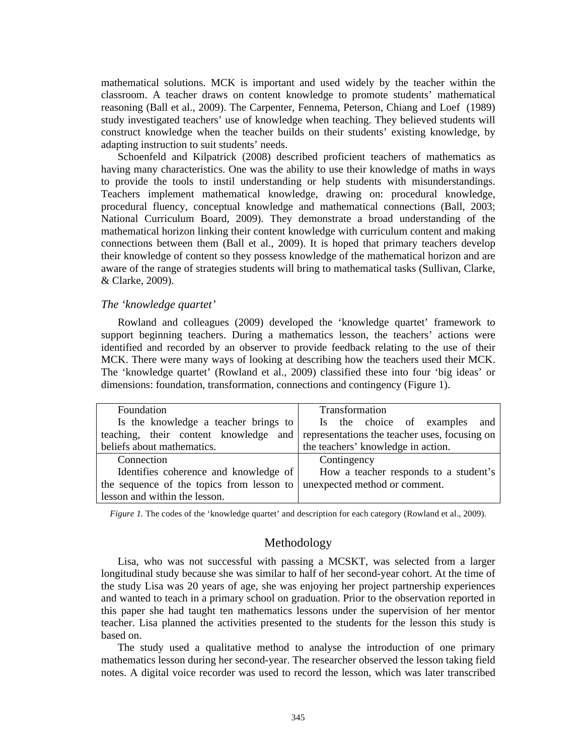mathematical solutions. MCK is important and used widely by the teacher within the classroom. A teacher draws on content knowledge to promote students' mathematical reasoning (Ball et al., 2009). The Carpenter, Fennema, Peterson, Chiang and Loef (1989) study investigated teachers' use of knowledge when teaching. They believed students will construct knowledge when the teacher builds on their students' existing knowledge, by adapting instruction to suit students' needs.

Schoenfeld and Kilpatrick (2008) described proficient teachers of mathematics as having many characteristics. One was the ability to use their knowledge of maths in ways to provide the tools to instil understanding or help students with misunderstandings. Teachers implement mathematical knowledge, drawing on: procedural knowledge, procedural fluency, conceptual knowledge and mathematical connections (Ball, 2003; National Curriculum Board, 2009). They demonstrate a broad understanding of the mathematical horizon linking their content knowledge with curriculum content and making connections between them (Ball et al., 2009). It is hoped that primary teachers develop their knowledge of content so they possess knowledge of the mathematical horizon and are aware of the range of strategies students will bring to mathematical tasks (Sullivan, Clarke, & Clarke, 2009).

### *The 'knowledge quartet'*

Rowland and colleagues (2009) developed the 'knowledge quartet' framework to support beginning teachers. During a mathematics lesson, the teachers' actions were identified and recorded by an observer to provide feedback relating to the use of their MCK. There were many ways of looking at describing how the teachers used their MCK. The 'knowledge quartet' (Rowland et al., 2009) classified these into four 'big ideas' or dimensions: foundation, transformation, connections and contingency (Figure 1).

| Foundation                                                                          | Transformation                        |
|-------------------------------------------------------------------------------------|---------------------------------------|
| Is the knowledge a teacher brings to                                                | Is the choice of examples and         |
| teaching, their content knowledge and representations the teacher uses, focusing on |                                       |
| beliefs about mathematics.                                                          | the teachers' knowledge in action.    |
| Connection                                                                          | Contingency                           |
| Identifies coherence and knowledge of                                               | How a teacher responds to a student's |
| the sequence of the topics from lesson to                                           | unexpected method or comment.         |
| lesson and within the lesson.                                                       |                                       |

*Figure 1.* The codes of the 'knowledge quartet' and description for each category (Rowland et al., 2009).

#### Methodology

Lisa, who was not successful with passing a MCSKT, was selected from a larger longitudinal study because she was similar to half of her second-year cohort. At the time of the study Lisa was 20 years of age, she was enjoying her project partnership experiences and wanted to teach in a primary school on graduation. Prior to the observation reported in this paper she had taught ten mathematics lessons under the supervision of her mentor teacher. Lisa planned the activities presented to the students for the lesson this study is based on.

The study used a qualitative method to analyse the introduction of one primary mathematics lesson during her second-year. The researcher observed the lesson taking field notes. A digital voice recorder was used to record the lesson, which was later transcribed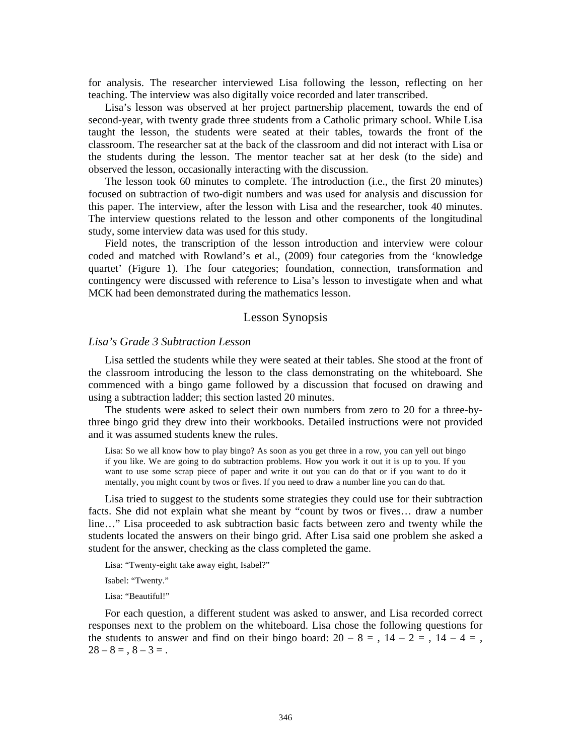for analysis. The researcher interviewed Lisa following the lesson, reflecting on her teaching. The interview was also digitally voice recorded and later transcribed.

Lisa's lesson was observed at her project partnership placement, towards the end of second-year, with twenty grade three students from a Catholic primary school. While Lisa taught the lesson, the students were seated at their tables, towards the front of the classroom. The researcher sat at the back of the classroom and did not interact with Lisa or the students during the lesson. The mentor teacher sat at her desk (to the side) and observed the lesson, occasionally interacting with the discussion.

The lesson took 60 minutes to complete. The introduction (i.e., the first 20 minutes) focused on subtraction of two-digit numbers and was used for analysis and discussion for this paper. The interview, after the lesson with Lisa and the researcher, took 40 minutes. The interview questions related to the lesson and other components of the longitudinal study, some interview data was used for this study.

Field notes, the transcription of the lesson introduction and interview were colour coded and matched with Rowland's et al., (2009) four categories from the 'knowledge quartet' (Figure 1). The four categories; foundation, connection, transformation and contingency were discussed with reference to Lisa's lesson to investigate when and what MCK had been demonstrated during the mathematics lesson.

# Lesson Synopsis

### *Lisa's Grade 3 Subtraction Lesson*

Lisa settled the students while they were seated at their tables. She stood at the front of the classroom introducing the lesson to the class demonstrating on the whiteboard. She commenced with a bingo game followed by a discussion that focused on drawing and using a subtraction ladder; this section lasted 20 minutes.

The students were asked to select their own numbers from zero to 20 for a three-bythree bingo grid they drew into their workbooks. Detailed instructions were not provided and it was assumed students knew the rules.

Lisa: So we all know how to play bingo? As soon as you get three in a row, you can yell out bingo if you like. We are going to do subtraction problems. How you work it out it is up to you. If you want to use some scrap piece of paper and write it out you can do that or if you want to do it mentally, you might count by twos or fives. If you need to draw a number line you can do that.

Lisa tried to suggest to the students some strategies they could use for their subtraction facts. She did not explain what she meant by "count by twos or fives… draw a number line…" Lisa proceeded to ask subtraction basic facts between zero and twenty while the students located the answers on their bingo grid. After Lisa said one problem she asked a student for the answer, checking as the class completed the game.

Lisa: "Twenty-eight take away eight, Isabel?"

Isabel: "Twenty."

Lisa: "Beautiful!"

For each question, a different student was asked to answer, and Lisa recorded correct responses next to the problem on the whiteboard. Lisa chose the following questions for the students to answer and find on their bingo board:  $20 - 8 = 14 - 2 = 14 - 4 = 16$ ,  $28 - 8 = 1, 8 - 3 = 0.$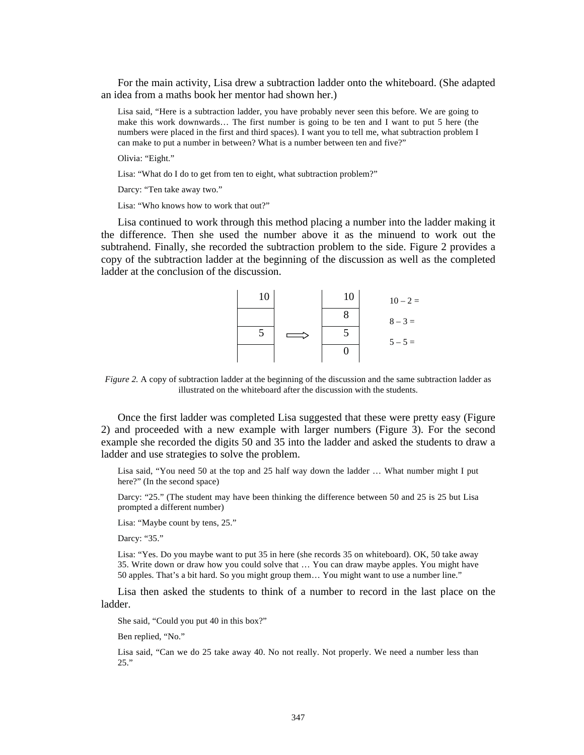For the main activity, Lisa drew a subtraction ladder onto the whiteboard. (She adapted an idea from a maths book her mentor had shown her.)

Lisa said, "Here is a subtraction ladder, you have probably never seen this before. We are going to make this work downwards… The first number is going to be ten and I want to put 5 here (the numbers were placed in the first and third spaces). I want you to tell me, what subtraction problem I can make to put a number in between? What is a number between ten and five?"

Olivia: "Eight."

Lisa: "What do I do to get from ten to eight, what subtraction problem?"

Darcy: "Ten take away two."

Lisa: "Who knows how to work that out?"

Lisa continued to work through this method placing a number into the ladder making it the difference. Then she used the number above it as the minuend to work out the subtrahend. Finally, she recorded the subtraction problem to the side. Figure 2 provides a copy of the subtraction ladder at the beginning of the discussion as well as the completed ladder at the conclusion of the discussion.



*Figure 2.* A copy of subtraction ladder at the beginning of the discussion and the same subtraction ladder as illustrated on the whiteboard after the discussion with the students.

Once the first ladder was completed Lisa suggested that these were pretty easy (Figure 2) and proceeded with a new example with larger numbers (Figure 3). For the second example she recorded the digits 50 and 35 into the ladder and asked the students to draw a ladder and use strategies to solve the problem.

Lisa said, "You need 50 at the top and 25 half way down the ladder … What number might I put here?" (In the second space)

Darcy: "25." (The student may have been thinking the difference between 50 and 25 is 25 but Lisa prompted a different number)

Lisa: "Maybe count by tens, 25."

Darcy: "35."

Lisa: "Yes. Do you maybe want to put 35 in here (she records 35 on whiteboard). OK, 50 take away 35. Write down or draw how you could solve that … You can draw maybe apples. You might have 50 apples. That's a bit hard. So you might group them… You might want to use a number line."

Lisa then asked the students to think of a number to record in the last place on the ladder.

She said, "Could you put 40 in this box?"

Ben replied, "No."

Lisa said, "Can we do 25 take away 40. No not really. Not properly. We need a number less than 25."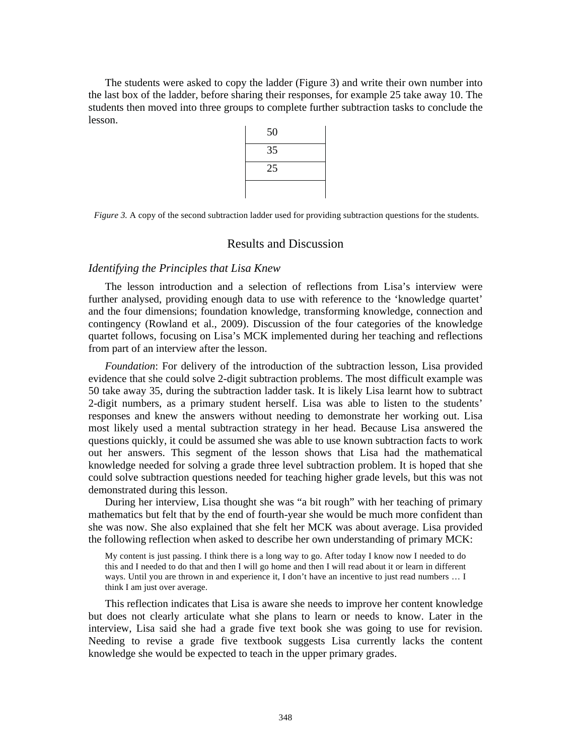The students were asked to copy the ladder (Figure 3) and write their own number into the last box of the ladder, before sharing their responses, for example 25 take away 10. The students then moved into three groups to complete further subtraction tasks to conclude the lesson.

| 50 |
|----|
| 35 |
| 25 |
|    |

*Figure 3.* A copy of the second subtraction ladder used for providing subtraction questions for the students.

### Results and Discussion

#### *Identifying the Principles that Lisa Knew*

The lesson introduction and a selection of reflections from Lisa's interview were further analysed, providing enough data to use with reference to the 'knowledge quartet' and the four dimensions; foundation knowledge, transforming knowledge, connection and contingency (Rowland et al., 2009). Discussion of the four categories of the knowledge quartet follows, focusing on Lisa's MCK implemented during her teaching and reflections from part of an interview after the lesson.

*Foundation*: For delivery of the introduction of the subtraction lesson, Lisa provided evidence that she could solve 2-digit subtraction problems. The most difficult example was 50 take away 35, during the subtraction ladder task. It is likely Lisa learnt how to subtract 2-digit numbers, as a primary student herself. Lisa was able to listen to the students' responses and knew the answers without needing to demonstrate her working out. Lisa most likely used a mental subtraction strategy in her head. Because Lisa answered the questions quickly, it could be assumed she was able to use known subtraction facts to work out her answers. This segment of the lesson shows that Lisa had the mathematical knowledge needed for solving a grade three level subtraction problem. It is hoped that she could solve subtraction questions needed for teaching higher grade levels, but this was not demonstrated during this lesson.

During her interview, Lisa thought she was "a bit rough" with her teaching of primary mathematics but felt that by the end of fourth-year she would be much more confident than she was now. She also explained that she felt her MCK was about average. Lisa provided the following reflection when asked to describe her own understanding of primary MCK:

My content is just passing. I think there is a long way to go. After today I know now I needed to do this and I needed to do that and then I will go home and then I will read about it or learn in different ways. Until you are thrown in and experience it, I don't have an incentive to just read numbers ... I think I am just over average.

This reflection indicates that Lisa is aware she needs to improve her content knowledge but does not clearly articulate what she plans to learn or needs to know. Later in the interview, Lisa said she had a grade five text book she was going to use for revision. Needing to revise a grade five textbook suggests Lisa currently lacks the content knowledge she would be expected to teach in the upper primary grades.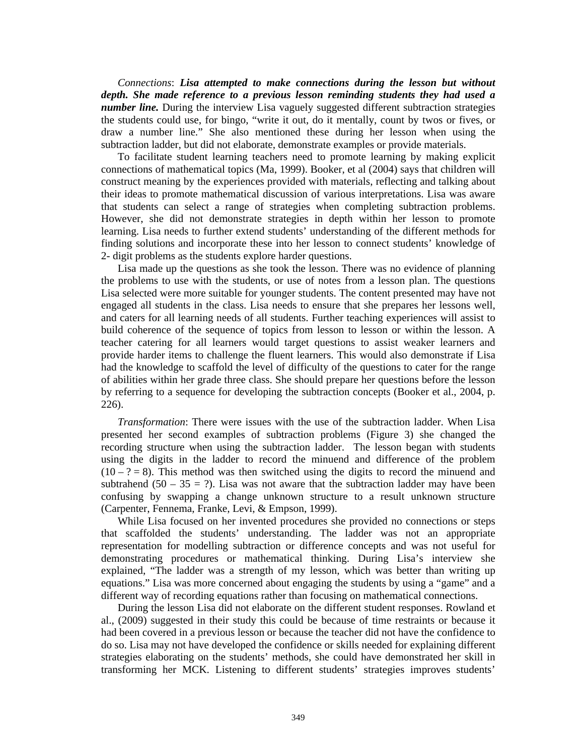*Connections*: *Lisa attempted to make connections during the lesson but without depth. She made reference to a previous lesson reminding students they had used a number line.* During the interview Lisa vaguely suggested different subtraction strategies the students could use, for bingo, "write it out, do it mentally, count by twos or fives, or draw a number line." She also mentioned these during her lesson when using the subtraction ladder, but did not elaborate, demonstrate examples or provide materials.

To facilitate student learning teachers need to promote learning by making explicit connections of mathematical topics (Ma, 1999). Booker, et al (2004) says that children will construct meaning by the experiences provided with materials, reflecting and talking about their ideas to promote mathematical discussion of various interpretations. Lisa was aware that students can select a range of strategies when completing subtraction problems. However, she did not demonstrate strategies in depth within her lesson to promote learning. Lisa needs to further extend students' understanding of the different methods for finding solutions and incorporate these into her lesson to connect students' knowledge of 2- digit problems as the students explore harder questions.

Lisa made up the questions as she took the lesson. There was no evidence of planning the problems to use with the students, or use of notes from a lesson plan. The questions Lisa selected were more suitable for younger students. The content presented may have not engaged all students in the class. Lisa needs to ensure that she prepares her lessons well, and caters for all learning needs of all students. Further teaching experiences will assist to build coherence of the sequence of topics from lesson to lesson or within the lesson. A teacher catering for all learners would target questions to assist weaker learners and provide harder items to challenge the fluent learners. This would also demonstrate if Lisa had the knowledge to scaffold the level of difficulty of the questions to cater for the range of abilities within her grade three class. She should prepare her questions before the lesson by referring to a sequence for developing the subtraction concepts (Booker et al., 2004, p. 226).

*Transformation*: There were issues with the use of the subtraction ladder. When Lisa presented her second examples of subtraction problems (Figure 3) she changed the recording structure when using the subtraction ladder. The lesson began with students using the digits in the ladder to record the minuend and difference of the problem  $(10 - ? = 8)$ . This method was then switched using the digits to record the minuend and subtrahend (50 – 35 = ?). Lisa was not aware that the subtraction ladder may have been confusing by swapping a change unknown structure to a result unknown structure (Carpenter, Fennema, Franke, Levi, & Empson, 1999).

While Lisa focused on her invented procedures she provided no connections or steps that scaffolded the students' understanding. The ladder was not an appropriate representation for modelling subtraction or difference concepts and was not useful for demonstrating procedures or mathematical thinking. During Lisa's interview she explained, "The ladder was a strength of my lesson, which was better than writing up equations." Lisa was more concerned about engaging the students by using a "game" and a different way of recording equations rather than focusing on mathematical connections.

During the lesson Lisa did not elaborate on the different student responses. Rowland et al., (2009) suggested in their study this could be because of time restraints or because it had been covered in a previous lesson or because the teacher did not have the confidence to do so. Lisa may not have developed the confidence or skills needed for explaining different strategies elaborating on the students' methods, she could have demonstrated her skill in transforming her MCK. Listening to different students' strategies improves students'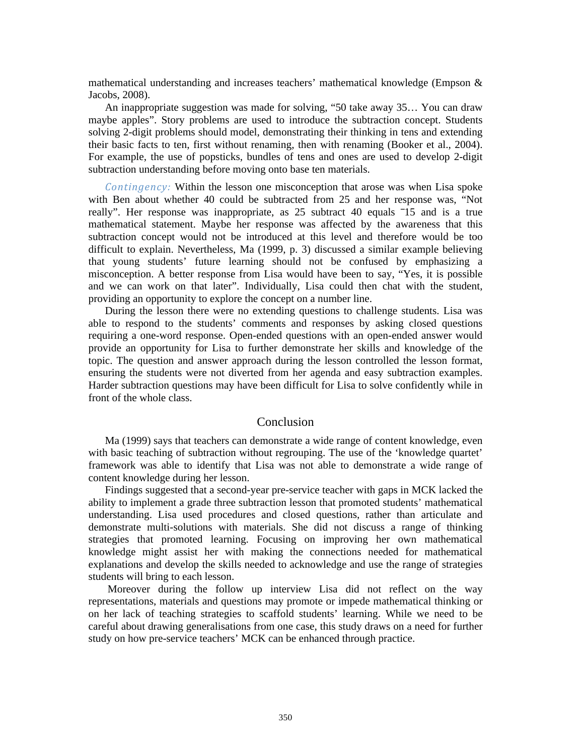mathematical understanding and increases teachers' mathematical knowledge (Empson & Jacobs, 2008).

An inappropriate suggestion was made for solving, "50 take away 35… You can draw maybe apples". Story problems are used to introduce the subtraction concept. Students solving 2-digit problems should model, demonstrating their thinking in tens and extending their basic facts to ten, first without renaming, then with renaming (Booker et al., 2004). For example, the use of popsticks, bundles of tens and ones are used to develop 2-digit subtraction understanding before moving onto base ten materials.

*Contingency:* Within the lesson one misconception that arose was when Lisa spoke with Ben about whether 40 could be subtracted from 25 and her response was, "Not really". Her response was inappropriate, as 25 subtract 40 equals  $\overline{15}$  and is a true mathematical statement. Maybe her response was affected by the awareness that this subtraction concept would not be introduced at this level and therefore would be too difficult to explain. Nevertheless, Ma (1999, p. 3) discussed a similar example believing that young students' future learning should not be confused by emphasizing a misconception. A better response from Lisa would have been to say, "Yes, it is possible and we can work on that later". Individually, Lisa could then chat with the student, providing an opportunity to explore the concept on a number line.

During the lesson there were no extending questions to challenge students. Lisa was able to respond to the students' comments and responses by asking closed questions requiring a one-word response. Open-ended questions with an open-ended answer would provide an opportunity for Lisa to further demonstrate her skills and knowledge of the topic. The question and answer approach during the lesson controlled the lesson format, ensuring the students were not diverted from her agenda and easy subtraction examples. Harder subtraction questions may have been difficult for Lisa to solve confidently while in front of the whole class.

# Conclusion

Ma (1999) says that teachers can demonstrate a wide range of content knowledge, even with basic teaching of subtraction without regrouping. The use of the 'knowledge quartet' framework was able to identify that Lisa was not able to demonstrate a wide range of content knowledge during her lesson.

Findings suggested that a second-year pre-service teacher with gaps in MCK lacked the ability to implement a grade three subtraction lesson that promoted students' mathematical understanding. Lisa used procedures and closed questions, rather than articulate and demonstrate multi-solutions with materials. She did not discuss a range of thinking strategies that promoted learning. Focusing on improving her own mathematical knowledge might assist her with making the connections needed for mathematical explanations and develop the skills needed to acknowledge and use the range of strategies students will bring to each lesson.

 Moreover during the follow up interview Lisa did not reflect on the way representations, materials and questions may promote or impede mathematical thinking or on her lack of teaching strategies to scaffold students' learning. While we need to be careful about drawing generalisations from one case, this study draws on a need for further study on how pre-service teachers' MCK can be enhanced through practice.